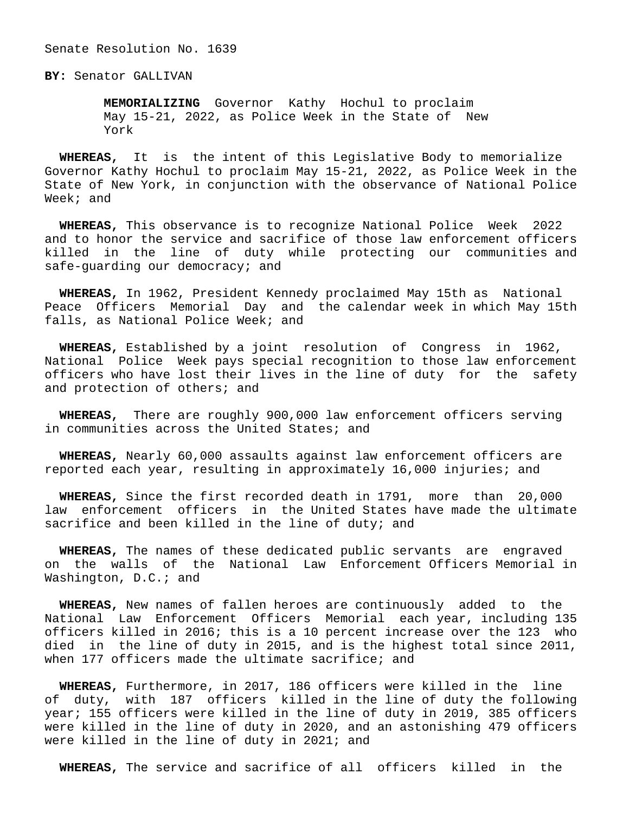Senate Resolution No. 1639

**BY:** Senator GALLIVAN

 **MEMORIALIZING** Governor Kathy Hochul to proclaim May 15-21, 2022, as Police Week in the State of New York

 **WHEREAS,** It is the intent of this Legislative Body to memorialize Governor Kathy Hochul to proclaim May 15-21, 2022, as Police Week in the State of New York, in conjunction with the observance of National Police Week; and

 **WHEREAS,** This observance is to recognize National Police Week 2022 and to honor the service and sacrifice of those law enforcement officers killed in the line of duty while protecting our communities and safe-guarding our democracy; and

 **WHEREAS,** In 1962, President Kennedy proclaimed May 15th as National Peace Officers Memorial Day and the calendar week in which May 15th falls, as National Police Week; and

 **WHEREAS,** Established by a joint resolution of Congress in 1962, National Police Week pays special recognition to those law enforcement officers who have lost their lives in the line of duty for the safety and protection of others; and

 **WHEREAS,** There are roughly 900,000 law enforcement officers serving in communities across the United States; and

 **WHEREAS,** Nearly 60,000 assaults against law enforcement officers are reported each year, resulting in approximately 16,000 injuries; and

 **WHEREAS,** Since the first recorded death in 1791, more than 20,000 law enforcement officers in the United States have made the ultimate sacrifice and been killed in the line of duty; and

 **WHEREAS,** The names of these dedicated public servants are engraved on the walls of the National Law Enforcement Officers Memorial in Washington, D.C.; and

 **WHEREAS,** New names of fallen heroes are continuously added to the National Law Enforcement Officers Memorial each year, including 135 officers killed in 2016; this is a 10 percent increase over the 123 who died in the line of duty in 2015, and is the highest total since 2011, when 177 officers made the ultimate sacrifice; and

 **WHEREAS,** Furthermore, in 2017, 186 officers were killed in the line of duty, with 187 officers killed in the line of duty the following year; 155 officers were killed in the line of duty in 2019, 385 officers were killed in the line of duty in 2020, and an astonishing 479 officers were killed in the line of duty in 2021; and

**WHEREAS,** The service and sacrifice of all officers killed in the